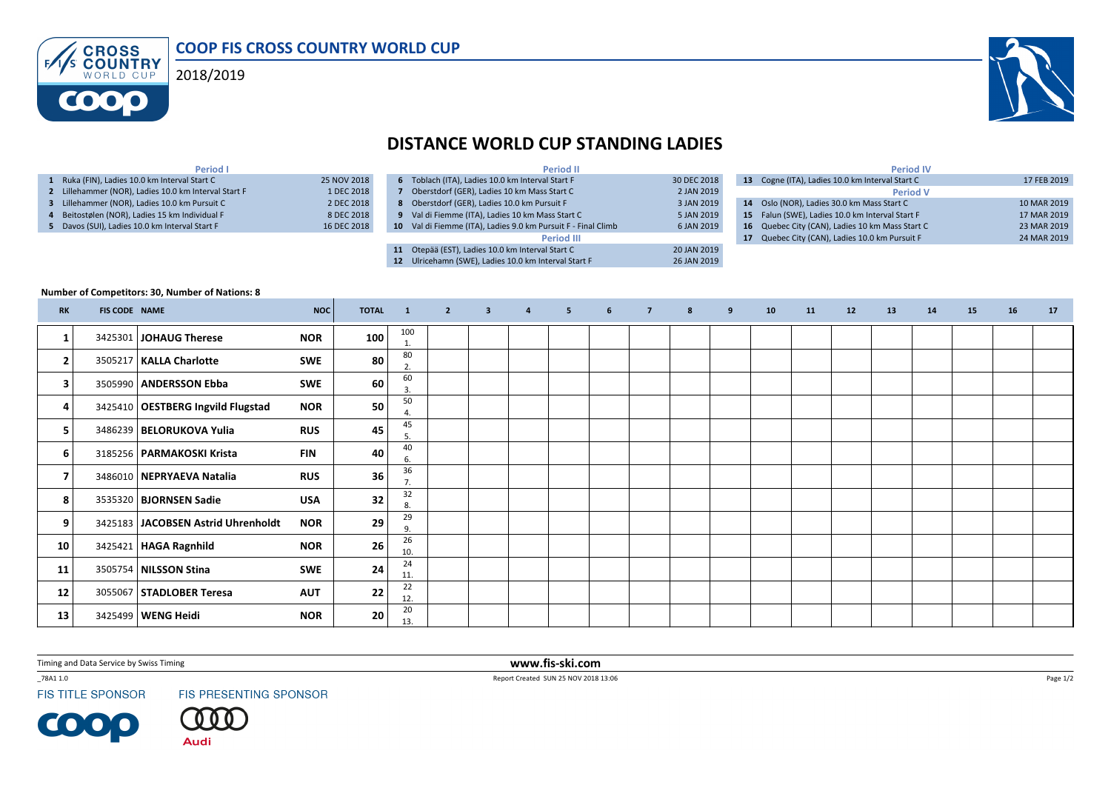COOP FIS CROSS COUNTRY WORLD CUP**ENS CROSS** 2018/2019**COOO** 



## DISTANCE WORLD CUP STANDING LADIES

| Period I                                             |             |
|------------------------------------------------------|-------------|
| 1 Ruka (FIN), Ladies 10.0 km Interval Start C        | 25 NOV 2018 |
| 2 Lillehammer (NOR), Ladies 10.0 km Interval Start F | 1 DEC 2018  |
| 3 Lillehammer (NOR), Ladies 10.0 km Pursuit C        | 2 DEC 2018  |
| 4 Beitostølen (NOR), Ladies 15 km Individual F       | 8 DEC 2018  |
| 5 Davos (SUI), Ladies 10.0 km Interval Start F       | 16 DEC 2018 |

|                 | <b>Period II</b>                                              |             |
|-----------------|---------------------------------------------------------------|-------------|
| 6               | Toblach (ITA), Ladies 10.0 km Interval Start F                | 30 DEC 2018 |
|                 | Oberstdorf (GER), Ladies 10 km Mass Start C                   | 2 JAN 2019  |
| 8               | Oberstdorf (GER), Ladies 10.0 km Pursuit F                    | 3 JAN 2019  |
|                 | 9 Val di Fiemme (ITA), Ladies 10 km Mass Start C              | 5 JAN 2019  |
|                 | 10 Val di Fiemme (ITA), Ladies 9.0 km Pursuit F - Final Climb | 6 JAN 2019  |
|                 | <b>Period III</b>                                             |             |
| 11              | Otepää (EST), Ladies 10.0 km Interval Start C                 | 20 JAN 2019 |
| 12 <sup>2</sup> | Ulricehamn (SWE), Ladies 10.0 km Interval Start F             | 26 JAN 2019 |
|                 |                                                               |             |

|    | <b>Period IV</b>                                |             |
|----|-------------------------------------------------|-------------|
| 13 | Cogne (ITA), Ladies 10.0 km Interval Start C    | 17 FEB 2019 |
|    | <b>Period V</b>                                 |             |
| 14 | Oslo (NOR), Ladies 30.0 km Mass Start C         | 10 MAR 2019 |
|    | 15 Falun (SWE), Ladies 10.0 km Interval Start F | 17 MAR 2019 |
| 16 | Quebec City (CAN), Ladies 10 km Mass Start C    | 23 MAR 2019 |
| 17 | Quebec City (CAN), Ladies 10.0 km Pursuit F     | 24 MAR 2019 |

## Number of Competitors: 30, Number of Nations: 8

| <b>RK</b>               | <b>FIS CODE NAME</b> |                                     | <b>NOC</b> | <b>TOTAL</b> | $\blacksquare$ | $\overline{2}$ | $\overline{\mathbf{3}}$ | $\overline{4}$ | 5 <sub>1</sub> | 6 | $\overline{7}$ | 8 | 9 | 10 | 11 | 12 | 13 | 14 | 15 | 16 | 17 |
|-------------------------|----------------------|-------------------------------------|------------|--------------|----------------|----------------|-------------------------|----------------|----------------|---|----------------|---|---|----|----|----|----|----|----|----|----|
| 1                       |                      | 3425301 JOHAUG Therese              | <b>NOR</b> | 100          | 100<br>1.      |                |                         |                |                |   |                |   |   |    |    |    |    |    |    |    |    |
| $\overline{2}$          |                      | 3505217   KALLA Charlotte           | SWE        | 80           | 80<br>2.       |                |                         |                |                |   |                |   |   |    |    |    |    |    |    |    |    |
| 3                       |                      | 3505990   ANDERSSON Ebba            | SWE        | 60           | 60<br>3        |                |                         |                |                |   |                |   |   |    |    |    |    |    |    |    |    |
| 4                       |                      | 3425410   OESTBERG Ingvild Flugstad | <b>NOR</b> | 50           | 50             |                |                         |                |                |   |                |   |   |    |    |    |    |    |    |    |    |
| 5                       |                      | 3486239   BELORUKOVA Yulia          | <b>RUS</b> | 45           | 45<br>5.       |                |                         |                |                |   |                |   |   |    |    |    |    |    |    |    |    |
| 6                       |                      | 3185256   PARMAKOSKI Krista         | <b>FIN</b> | 40           | 40<br>6.       |                |                         |                |                |   |                |   |   |    |    |    |    |    |    |    |    |
| $\overline{\mathbf{z}}$ |                      | 3486010   NEPRYAEVA Natalia         | <b>RUS</b> | 36           | 36             |                |                         |                |                |   |                |   |   |    |    |    |    |    |    |    |    |
| 8                       |                      | 3535320   BJORNSEN Sadie            | <b>USA</b> | 32           | 32<br>8.       |                |                         |                |                |   |                |   |   |    |    |    |    |    |    |    |    |
| 9                       |                      | 3425183 JACOBSEN Astrid Uhrenholdt  | <b>NOR</b> | 29           | 29<br>9        |                |                         |                |                |   |                |   |   |    |    |    |    |    |    |    |    |
| 10                      |                      | 3425421   HAGA Ragnhild             | <b>NOR</b> | 26           | 26<br>10.      |                |                         |                |                |   |                |   |   |    |    |    |    |    |    |    |    |
| 11                      |                      | 3505754   NILSSON Stina             | SWE        | 24           | 24<br>11.      |                |                         |                |                |   |                |   |   |    |    |    |    |    |    |    |    |
| 12                      |                      | 3055067   STADLOBER Teresa          | <b>AUT</b> | 22           | 22<br>12.      |                |                         |                |                |   |                |   |   |    |    |    |    |    |    |    |    |
| 13                      |                      | 3425499   WENG Heidi                | <b>NOR</b> | 20           | 20<br>13.      |                |                         |                |                |   |                |   |   |    |    |    |    |    |    |    |    |

Timing and Data Service by Swiss Timing

\_78A1 1.0

**FIS TITLE SPONSOR** 

**COOP** 

FIS PRESENTING SPONSOR

**Audi** 

 www.fis-ski.comReport Created SUN 25 NOV 2018 13:06